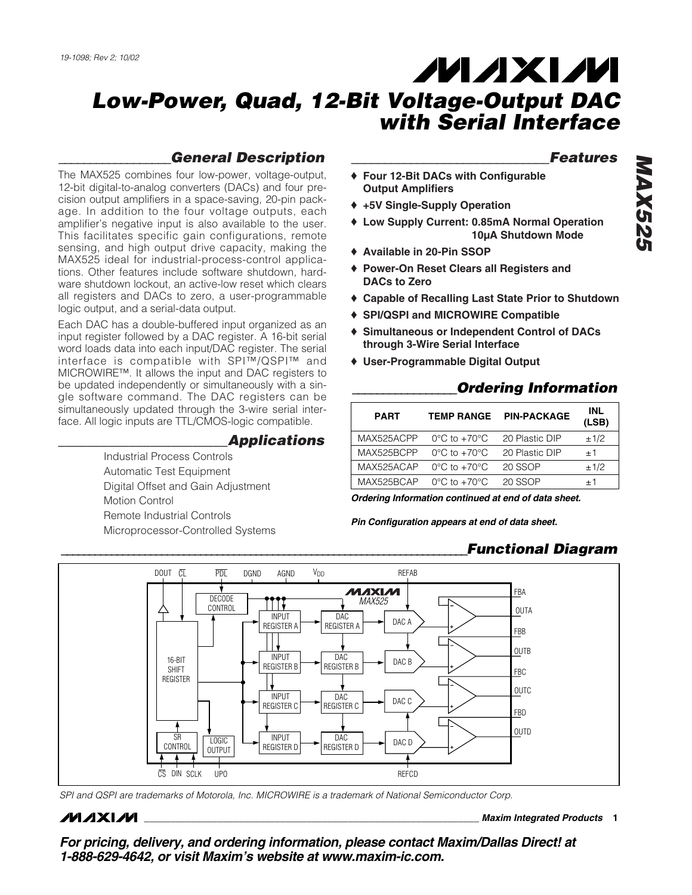## **MAXM**

### *Low-Power, Quad, 12-Bit Voltage-Output DAC with Serial Interface*

#### *\_\_\_\_\_\_\_\_\_\_\_\_\_\_\_\_\_\_General Description*

The MAX525 combines four low-power, voltage-output, 12-bit digital-to-analog converters (DACs) and four precision output amplifiers in a space-saving, 20-pin package. In addition to the four voltage outputs, each amplifier's negative input is also available to the user. This facilitates specific gain configurations, remote sensing, and high output drive capacity, making the MAX525 ideal for industrial-process-control applications. Other features include software shutdown, hardware shutdown lockout, an active-low reset which clears all registers and DACs to zero, a user-programmable logic output, and a serial-data output.

Each DAC has a double-buffered input organized as an input register followed by a DAC register. A 16-bit serial word loads data into each input/DAC register. The serial interface is compatible with SPI™/QSPI™ and MICROWIRE™. It allows the input and DAC registers to be updated independently or simultaneously with a single software command. The DAC registers can be simultaneously updated through the 3-wire serial interface. All logic inputs are TTL/CMOS-logic compatible.

#### *\_\_\_\_\_\_\_\_\_\_\_\_\_\_\_\_\_\_\_\_\_\_\_\_Applications*

Industrial Process Controls Automatic Test Equipment Digital Offset and Gain Adjustment Motion Control Remote Industrial Controls Microprocessor-Controlled Systems

#### *\_\_\_\_\_\_\_\_\_\_\_\_\_\_\_\_\_\_\_\_\_\_\_\_\_\_\_\_\_\_Features*

- ♦ **Four 12-Bit DACs with Configurable Output Amplifiers**
- ♦ **+5V Single-Supply Operation**
- ♦ **Low Supply Current: 0.85mA Normal Operation 10µA Shutdown Mode**
- ♦ **Available in 20-Pin SSOP**
- ♦ **Power-On Reset Clears all Registers and DACs to Zero**
- ♦ **Capable of Recalling Last State Prior to Shutdown**
- ♦ **SPI/QSPI and MICROWIRE Compatible**
- ♦ **Simultaneous or Independent Control of DACs through 3-Wire Serial Interface**
- ♦ **User-Programmable Digital Output**

#### *\_\_\_\_\_\_\_\_\_\_\_\_\_\_\_\_\_Ordering Information*

| <b>PART</b> | <b>TEMP RANGE</b>                | <b>PIN-PACKAGE</b> | INL<br>(LSB) |
|-------------|----------------------------------|--------------------|--------------|
| MAX525ACPP  | $0^{\circ}$ C to $+70^{\circ}$ C | 20 Plastic DIP     | ±1/2         |
| MAX525BCPP  | $0^{\circ}$ C to $+70^{\circ}$ C | 20 Plastic DIP     | $+1$         |
| MAX525ACAP  | $0^{\circ}$ C to $+70^{\circ}$ C | 20 SSOP            | ±1/2         |
| MAX525BCAP  | $0^{\circ}$ C to $+70^{\circ}$ C | 20 SSOP            | $+1$         |

*Ordering Information continued at end of data sheet.*

*Pin Configuration appears at end of data sheet.*

#### *\_\_\_\_\_\_\_\_\_\_\_\_\_\_\_\_\_\_\_\_\_\_\_\_\_\_\_\_\_\_\_\_\_\_\_\_\_\_\_\_\_\_\_\_\_\_\_\_\_\_\_\_\_\_\_\_\_\_\_\_\_\_\_\_\_\_\_\_\_\_\_\_\_Functional Diagram*



*SPI and QSPI are trademarks of Motorola, Inc. MICROWIRE is a trademark of National Semiconductor Corp.*

#### **MAXIM**

**\_\_\_\_\_\_\_\_\_\_\_\_\_\_\_\_\_\_\_\_\_\_\_\_\_\_\_\_\_\_\_\_\_\_\_\_\_\_\_\_\_\_\_\_\_\_\_\_\_\_\_\_\_\_\_\_\_\_\_\_\_\_\_\_** *Maxim Integrated Products* **1**

*For pricing, delivery, and ordering information, please contact Maxim/Dallas Direct! at 1-888-629-4642, or visit Maxim's website at www.maxim-ic.com.*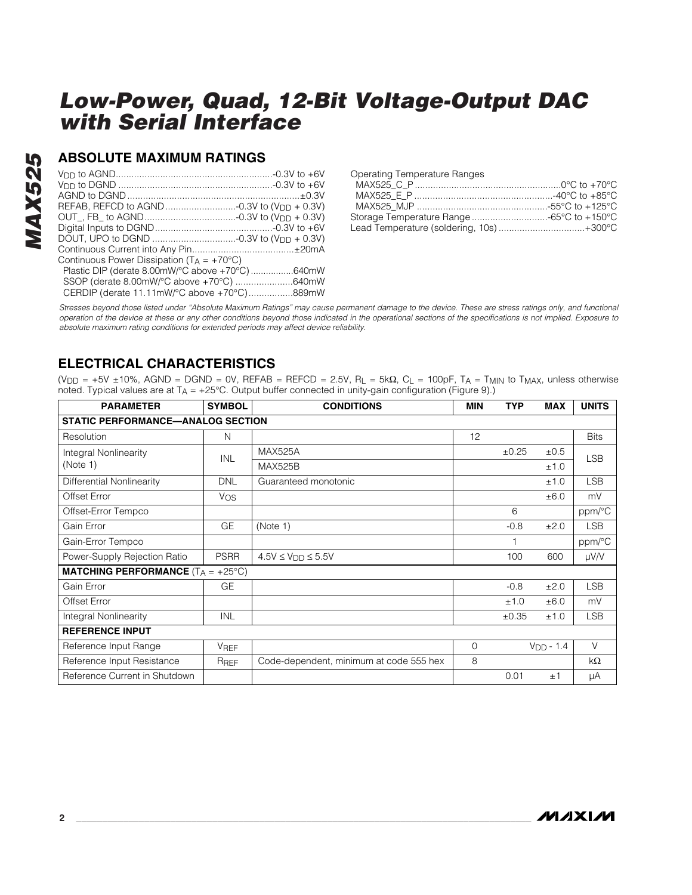#### **ABSOLUTE MAXIMUM RATINGS**

| Continuous Power Dissipation ( $T_A = +70^{\circ}C$ ) |
|-------------------------------------------------------|
| Plastic DIP (derate 8.00mW/°C above +70°C)640mW       |
| SSOP (derate 8.00mW/°C above +70°C) 640mW             |
| CERDIP (derate 11.11mW/°C above +70°C)889mW           |
|                                                       |

| <b>Operating Temperature Ranges</b>      |  |
|------------------------------------------|--|
|                                          |  |
|                                          |  |
|                                          |  |
|                                          |  |
| Lead Temperature (soldering, 10s) +300°C |  |

*Stresses beyond those listed under "Absolute Maximum Ratings" may cause permanent damage to the device. These are stress ratings only, and functional operation of the device at these or any other conditions beyond those indicated in the operational sections of the specifications is not implied. Exposure to absolute maximum rating conditions for extended periods may affect device reliability.*

#### **ELECTRICAL CHARACTERISTICS**

(V<sub>DD</sub> = +5V ±10%, AGND = DGND = 0V, REFAB = REFCD = 2.5V, R<sub>L</sub> = 5k $\Omega$ , C<sub>L</sub> = 100pF, T<sub>A</sub> = T<sub>MIN</sub> to T<sub>MAX</sub>, unless otherwise noted. Typical values are at  $T_A = +25^{\circ}$ C. Output buffer connected in unity-gain configuration (Figure 9).)

| <b>PARAMETER</b>                                   | <b>SYMBOL</b>    | <b>CONDITIONS</b>                       | <b>MIN</b> | <b>TYP</b> | <b>MAX</b>  | <b>UNITS</b> |  |  |
|----------------------------------------------------|------------------|-----------------------------------------|------------|------------|-------------|--------------|--|--|
| STATIC PERFORMANCE-ANALOG SECTION                  |                  |                                         |            |            |             |              |  |  |
| Resolution                                         | N                |                                         | 12         |            |             | <b>Bits</b>  |  |  |
| Integral Nonlinearity                              | <b>INL</b>       | <b>MAX525A</b>                          |            | ±0.25      | ±0.5        | <b>LSB</b>   |  |  |
| (Note 1)                                           |                  | <b>MAX525B</b>                          |            |            | ±1.0        |              |  |  |
| Differential Nonlinearity                          | <b>DNL</b>       | Guaranteed monotonic                    |            |            | ±1.0        | <b>LSB</b>   |  |  |
| Offset Error                                       | Vos              |                                         |            |            | ±6.0        | mV           |  |  |
| Offset-Error Tempco                                |                  |                                         |            | 6          |             | ppm/°C       |  |  |
| Gain Error                                         | GE               | (Note 1)                                |            | $-0.8$     | ±2.0        | <b>LSB</b>   |  |  |
| Gain-Error Tempco                                  |                  |                                         |            |            |             | ppm/°C       |  |  |
| Power-Supply Rejection Ratio                       | <b>PSRR</b>      | $4.5V \le V_{DD} \le 5.5V$              |            | 100        | 600         | $\mu$ V/V    |  |  |
| <b>MATCHING PERFORMANCE</b> $(T_A = +25^{\circ}C)$ |                  |                                         |            |            |             |              |  |  |
| Gain Error                                         | GE               |                                         |            | $-0.8$     | ±2.0        | <b>LSB</b>   |  |  |
| Offset Error                                       |                  |                                         |            | ±1.0       | ±6.0        | mV           |  |  |
| <b>Integral Nonlinearity</b>                       | <b>INL</b>       |                                         |            | $\pm 0.35$ | ±1.0        | <b>LSB</b>   |  |  |
| <b>REFERENCE INPUT</b>                             |                  |                                         |            |            |             |              |  |  |
| Reference Input Range                              | VREF             |                                         | $\Omega$   |            | $VDD - 1.4$ | $\vee$       |  |  |
| Reference Input Resistance                         | R <sub>REF</sub> | Code-dependent, minimum at code 555 hex | 8          |            |             | kΩ           |  |  |
| Reference Current in Shutdown                      |                  |                                         |            | 0.01       | ±1          | μA           |  |  |

**MAXM**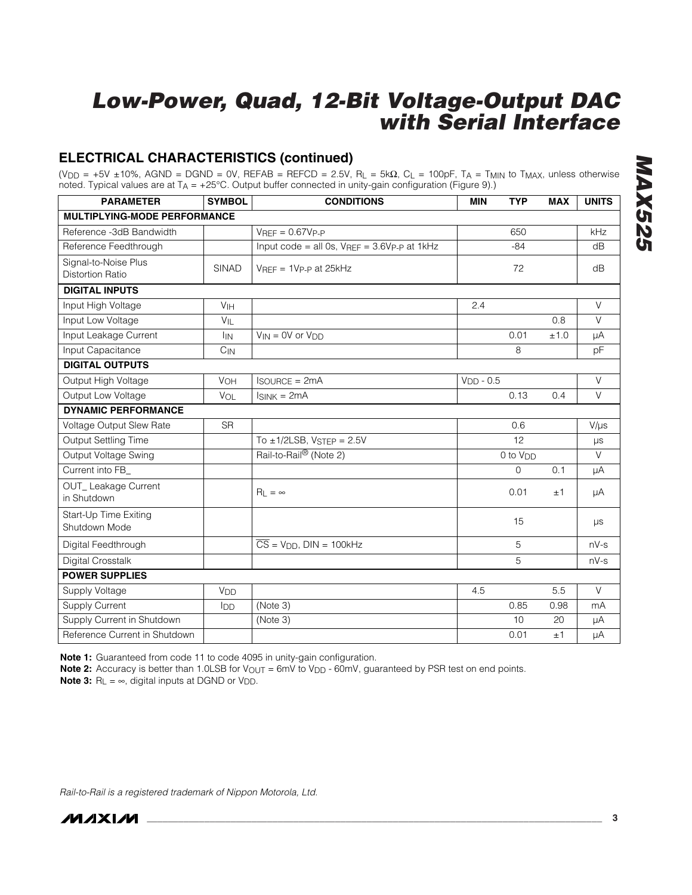#### **ELECTRICAL CHARACTERISTICS (continued)**

(V<sub>DD</sub> = +5V ±10%, AGND = DGND = 0V, REFAB = REFCD = 2.5V, R<sub>L</sub> = 5k $\Omega$ , C<sub>L</sub> = 100pF, T<sub>A</sub> = T<sub>MIN</sub> to T<sub>MAX</sub>, unless otherwise noted. Typical values are at TA = +25°C. Output buffer connected in unity-gain configuration (Figure 9).)

| <b>PARAMETER</b>                                | <b>SYMBOL</b>   | <b>CONDITIONS</b>                                | <b>TYP</b><br><b>MIN</b> | <b>MAX</b> | <b>UNITS</b> |
|-------------------------------------------------|-----------------|--------------------------------------------------|--------------------------|------------|--------------|
| <b>MULTIPLYING-MODE PERFORMANCE</b>             |                 |                                                  |                          |            |              |
| Reference -3dB Bandwidth                        |                 | $V_{RFF} = 0.67V_{P-P}$                          | 650                      |            | kHz          |
| Reference Feedthrough                           |                 | Input code = all 0s, $V_{REF}$ = 3.6Vp-p at 1kHz | $-84$                    |            | dB           |
| Signal-to-Noise Plus<br><b>Distortion Ratio</b> | <b>SINAD</b>    | $V_{REF} = 1V_{P-P}$ at 25kHz                    | 72                       |            | dB           |
| <b>DIGITAL INPUTS</b>                           |                 |                                                  |                          |            |              |
| Input High Voltage                              | VIH             |                                                  | 2.4                      |            | $\vee$       |
| Input Low Voltage                               | $V_{IL}$        |                                                  |                          | 0.8        | $\vee$       |
| Input Leakage Current                           | <b>I</b> IN     | $V_{IN} = 0V$ or $V_{DD}$                        | 0.01                     | ±1.0       | μA           |
| Input Capacitance                               | $C_{IN}$        |                                                  | 8                        |            | pF           |
| <b>DIGITAL OUTPUTS</b>                          |                 |                                                  |                          |            |              |
| Output High Voltage                             | VOH             | $I$ SOURCE = $2mA$                               | $VDD - 0.5$              |            | $\vee$       |
| Output Low Voltage                              | <b>VOL</b>      | $IsINK = 2mA$                                    | 0.13                     | 0.4        | $\vee$       |
| <b>DYNAMIC PERFORMANCE</b>                      |                 |                                                  |                          |            |              |
| Voltage Output Slew Rate                        | <b>SR</b>       |                                                  | 0.6                      |            | $V/\mu s$    |
| Output Settling Time                            |                 | To $\pm$ 1/2LSB, VSTEP = 2.5V                    | 12                       |            | $\mu s$      |
| Output Voltage Swing                            |                 | Rail-to-Rail® (Note 2)                           | 0 to V <sub>DD</sub>     |            | $\vee$       |
| Current into FB_                                |                 |                                                  | 0                        | 0.1        | μA           |
| OUT_Leakage Current<br>in Shutdown              |                 | $R_L = \infty$                                   | 0.01                     | ±1         | μA           |
| Start-Up Time Exiting<br>Shutdown Mode          |                 |                                                  | 15                       |            | $\mu s$      |
| Digital Feedthrough                             |                 | $\overline{CS}$ = $V_{DD}$ , DIN = 100kHz        | 5                        |            | $nV-s$       |
| Digital Crosstalk                               |                 |                                                  | 5                        |            | $nV-s$       |
| <b>POWER SUPPLIES</b>                           |                 |                                                  |                          |            |              |
| Supply Voltage                                  | V <sub>DD</sub> |                                                  | 4.5                      | 5.5        | $\vee$       |
| <b>Supply Current</b>                           | I <sub>DD</sub> | (Note 3)                                         | 0.85                     | 0.98       | mA           |
| Supply Current in Shutdown                      |                 | (Note 3)                                         | 10                       | 20         | μA           |
| Reference Current in Shutdown                   |                 |                                                  | 0.01                     | ±1         | μA           |

**Note 1:** Guaranteed from code 11 to code 4095 in unity-gain configuration.

**Note 2:** Accuracy is better than 1.0LSB for V<sub>OUT</sub> = 6mV to V<sub>DD</sub> - 60mV, guaranteed by PSR test on end points. **Note 3:**  $R_L = \infty$ , digital inputs at DGND or V<sub>DD</sub>.

*Rail-to-Rail is a registered trademark of Nippon Motorola, Ltd.*

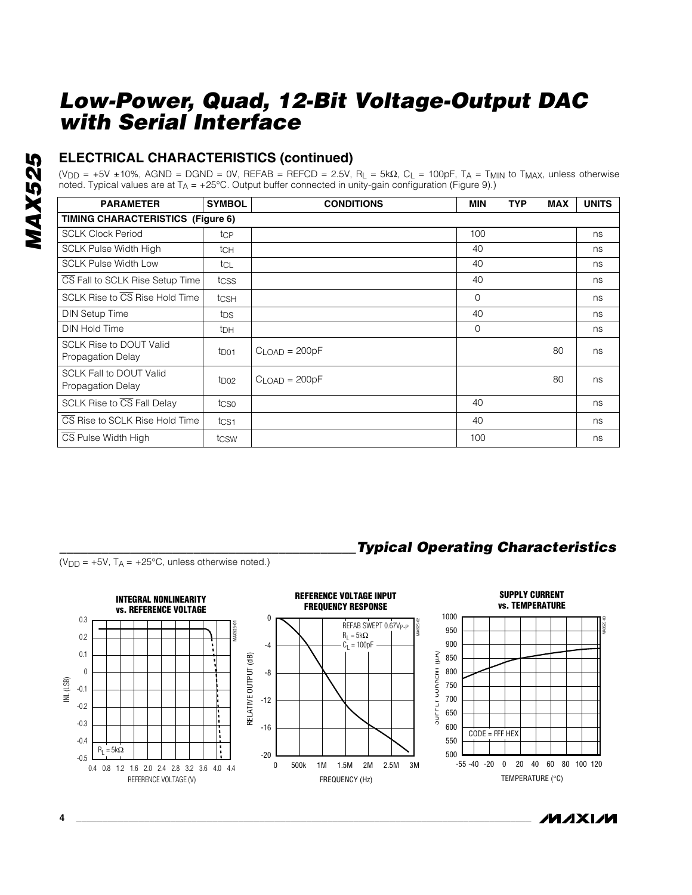#### **ELECTRICAL CHARACTERISTICS (continued)**

(V<sub>DD</sub> = +5V ±10%, AGND = DGND = 0V, REFAB = REFCD = 2.5V, R<sub>L</sub> = 5k $\Omega$ , C<sub>L</sub> = 100pF, T<sub>A</sub> = T<sub>MIN</sub> to T<sub>MAX</sub>, unless otherwise noted. Typical values are at TA = +25°C. Output buffer connected in unity-gain configuration (Figure 9).)

| <b>PARAMETER</b>                                    | <b>SYMBOL</b>    | <b>CONDITIONS</b> | <b>MIN</b>   | <b>TYP</b> | <b>MAX</b> | <b>UNITS</b> |  |  |
|-----------------------------------------------------|------------------|-------------------|--------------|------------|------------|--------------|--|--|
| TIMING CHARACTERISTICS (Figure 6)                   |                  |                   |              |            |            |              |  |  |
| <b>SCLK Clock Period</b>                            | tcp              |                   | 100          |            |            | ns           |  |  |
| <b>SCLK Pulse Width High</b>                        | tch              |                   | 40           |            |            | ns           |  |  |
| <b>SCLK Pulse Width Low</b>                         | tcl              |                   | 40           |            |            | ns           |  |  |
| CS Fall to SCLK Rise Setup Time                     | tcss             |                   | 40           |            |            | ns           |  |  |
| SCLK Rise to CS Rise Hold Time                      | tCSH             |                   | $\Omega$     |            |            | ns           |  |  |
| <b>DIN Setup Time</b>                               | tps              |                   | 40           |            |            | ns           |  |  |
| <b>DIN Hold Time</b>                                | t <sub>DH</sub>  |                   | $\mathbf{0}$ |            |            | ns           |  |  |
| <b>SCLK Rise to DOUT Valid</b><br>Propagation Delay | t <sub>D01</sub> | $CLOAD = 200pF$   |              |            | 80         | ns           |  |  |
| <b>SCLK Fall to DOUT Valid</b><br>Propagation Delay | tpo2             | $CLOAD = 200pF$   |              |            | 80         | ns           |  |  |
| SCLK Rise to CS Fall Delay                          | tcso             |                   | 40           |            |            | ns           |  |  |
| CS Rise to SCLK Rise Hold Time                      | t <sub>CS1</sub> |                   | 40           |            |            | ns           |  |  |
| CS Pulse Width High                                 | tcsw             |                   | 100          |            |            | ns           |  |  |

 $(V_{DD} = +5V, T_A = +25°C,$  unless otherwise noted.)



*/VLAXL/VL* 

*\_\_\_\_\_\_\_\_\_\_\_\_\_\_\_\_\_\_\_\_\_\_\_\_\_\_\_\_\_\_\_\_\_\_\_\_\_\_\_\_\_\_Typical Operating Characteristics*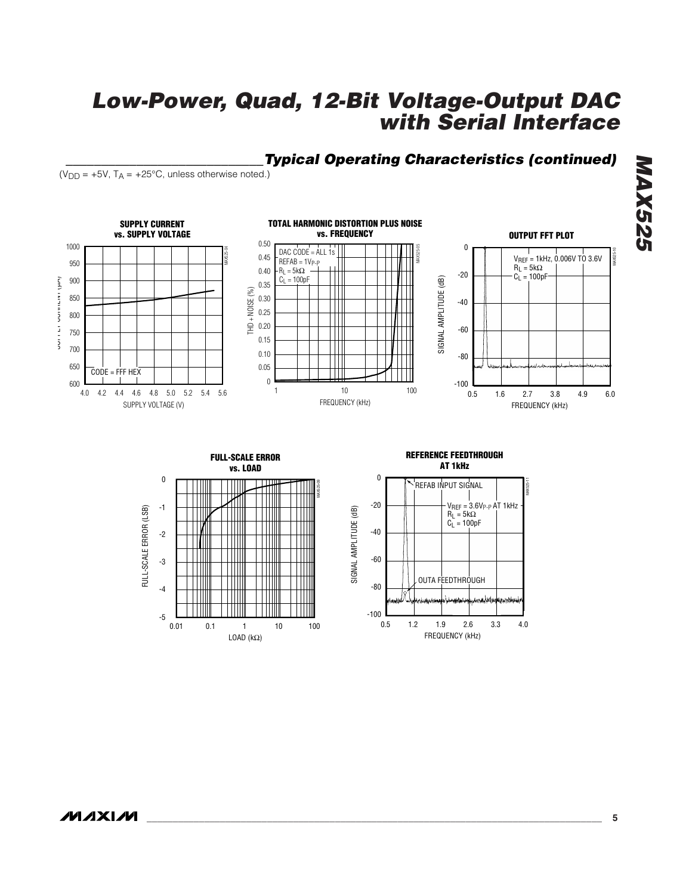#### *\_\_\_\_\_\_\_\_\_\_\_\_\_\_\_\_\_\_\_\_\_\_\_\_\_\_\_\_Typical Operating Characteristics (continued)*

 $(V_{DD} = +5V$ ,  $T_A = +25^{\circ}C$ , unless otherwise noted.)





#### **REFERENCE FEEDTHROUGH AT 1kHz**

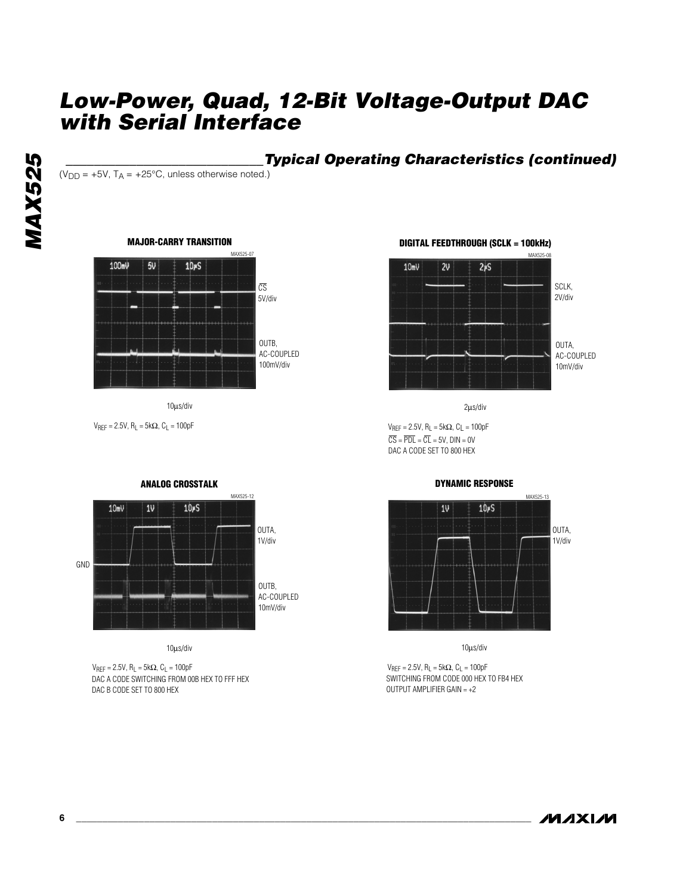# **MAX525** *MAX525*

#### **Typical Operating Characteristics (continued)**

 $(V_{DD} = +5V$ ,  $T_A = +25^{\circ}C$ , unless otherwise noted.)

#### **MAJOR-CARRY TRANSITION**



10µs/div

 $V_{REF} = 2.5V$ ,  $R_L = 5k\Omega$ ,  $C_L = 100pF$ 



10µs/div

DAC A CODE SWITCHING FROM 00B HEX TO FFF HEX DAC B CODE SET TO 800 HEX  $V_{REF} = 2.5V$ ,  $R_L = 5kΩ$ ,  $C_L = 100pF$ 



 $\overline{CS} = \overline{PDL} = \overline{CL} = 5V$ ,  $DIN = 0V$ DAC A CODE SET TO 800 HEX  $V_{REF} = 2.5V$ ,  $R_L = 5k\Omega$ ,  $C_L = 100pF$ 

#### **DYNAMIC RESPONSE**



10µs/div

SWITCHING FROM CODE 000 HEX TO FB4 HEX OUTPUT AMPLIFIER GAIN = +2  $V_{REF} = 2.5V$ ,  $R_L = 5k\Omega$ ,  $C_L = 100pF$ 

**MAXIM** 

#### **ANALOG CROSSTALK**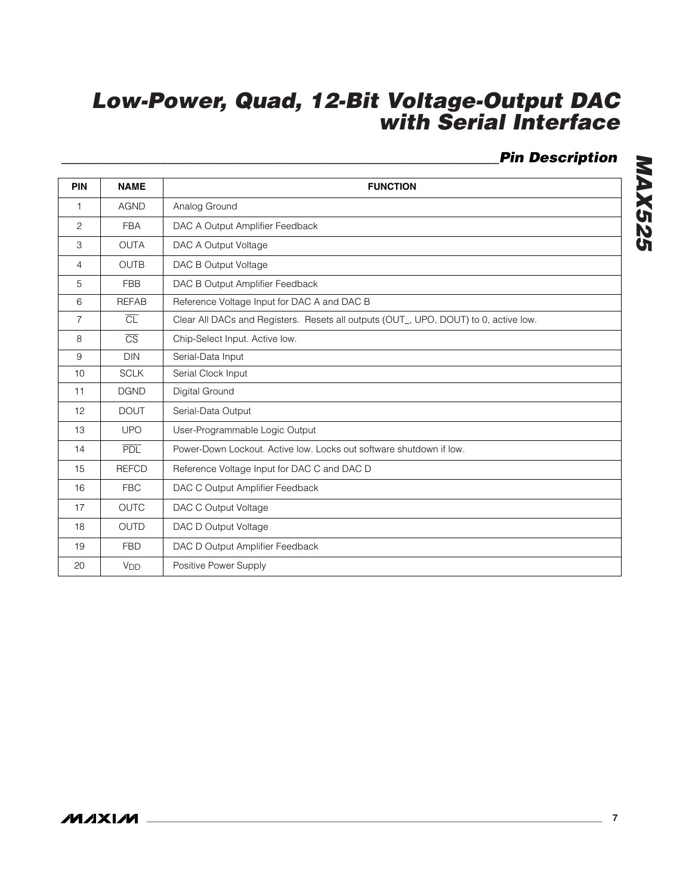#### *\_\_\_\_\_\_\_\_\_\_\_\_\_\_\_\_\_\_\_\_\_\_\_\_\_\_\_\_\_\_\_\_\_\_\_\_\_\_\_\_\_\_\_\_\_\_\_\_\_\_\_\_\_\_\_\_\_\_\_\_\_\_Pin Description*

| <b>PIN</b>     | <b>NAME</b>            | <b>FUNCTION</b>                                                                      |
|----------------|------------------------|--------------------------------------------------------------------------------------|
| $\mathbf{1}$   | <b>AGND</b>            | Analog Ground                                                                        |
| 2              | <b>FBA</b>             | DAC A Output Amplifier Feedback                                                      |
| 3              | OUTA                   | DAC A Output Voltage                                                                 |
| 4              | <b>OUTB</b>            | DAC B Output Voltage                                                                 |
| 5              | <b>FBB</b>             | DAC B Output Amplifier Feedback                                                      |
| 6              | <b>REFAB</b>           | Reference Voltage Input for DAC A and DAC B                                          |
| $\overline{7}$ | $\overline{CL}$        | Clear All DACs and Registers. Resets all outputs (OUT_, UPO, DOUT) to 0, active low. |
| 8              | $\overline{\text{CS}}$ | Chip-Select Input. Active low.                                                       |
| 9              | <b>DIN</b>             | Serial-Data Input                                                                    |
| 10             | <b>SCLK</b>            | Serial Clock Input                                                                   |
| 11             | <b>DGND</b>            | Digital Ground                                                                       |
| 12             | <b>DOUT</b>            | Serial-Data Output                                                                   |
| 13             | <b>UPO</b>             | User-Programmable Logic Output                                                       |
| 14             | <b>PDL</b>             | Power-Down Lockout. Active low. Locks out software shutdown if low.                  |
| 15             | <b>REFCD</b>           | Reference Voltage Input for DAC C and DAC D                                          |
| 16             | <b>FBC</b>             | DAC C Output Amplifier Feedback                                                      |
| 17             | <b>OUTC</b>            | DAC C Output Voltage                                                                 |
| 18             | <b>OUTD</b>            | DAC D Output Voltage                                                                 |
| 19             | <b>FBD</b>             | DAC D Output Amplifier Feedback                                                      |
| 20             | <b>V<sub>DD</sub></b>  | Positive Power Supply                                                                |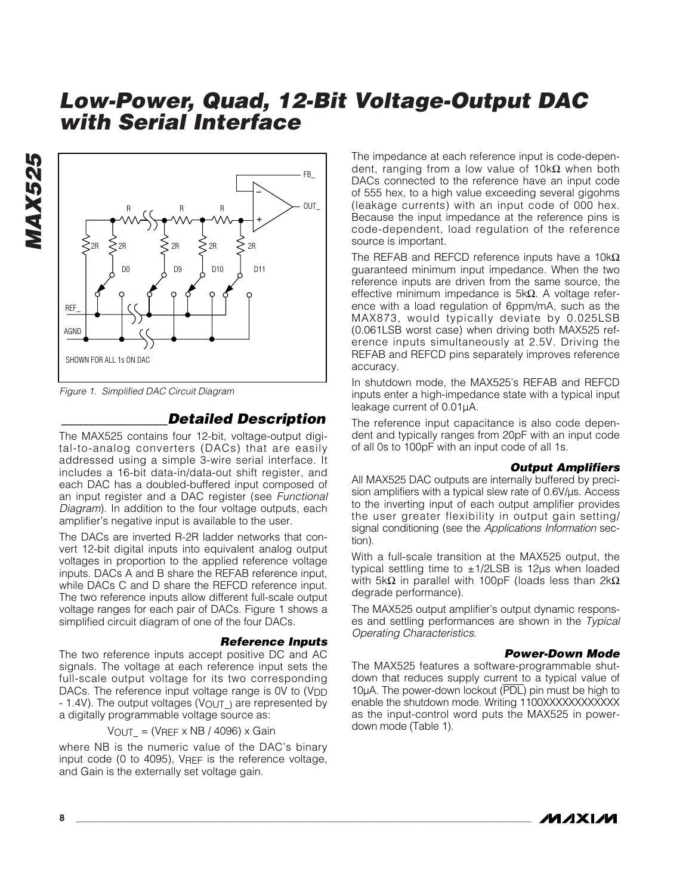

*Figure 1. Simplified DAC Circuit Diagram*

*MAX525*

#### *\_\_\_\_\_\_\_\_\_\_\_\_\_\_\_Detailed Description*

The MAX525 contains four 12-bit, voltage-output digital-to-analog converters (DACs) that are easily addressed using a simple 3-wire serial interface. It includes a 16-bit data-in/data-out shift register, and each DAC has a doubled-buffered input composed of an input register and a DAC register (see *Functional Diagram*). In addition to the four voltage outputs, each amplifier's negative input is available to the user.

The DACs are inverted R-2R ladder networks that convert 12-bit digital inputs into equivalent analog output voltages in proportion to the applied reference voltage inputs. DACs A and B share the REFAB reference input, while DACs C and D share the REFCD reference input. The two reference inputs allow different full-scale output voltage ranges for each pair of DACs. Figure 1 shows a simplified circuit diagram of one of the four DACs.

#### *Reference Inputs*

The two reference inputs accept positive DC and AC signals. The voltage at each reference input sets the full-scale output voltage for its two corresponding DACs. The reference input voltage range is 0V to (V<sub>DD</sub> - 1.4V). The output voltages (VOUT\_) are represented by a digitally programmable voltage source as:

 $V_{OUT} = (V_{REF} \times NB / 4096) \times Gain$ 

where NB is the numeric value of the DAC's binary input code (0 to 4095), VREF is the reference voltage, and Gain is the externally set voltage gain.

The impedance at each reference input is code-dependent, ranging from a low value of  $10kΩ$  when both DACs connected to the reference have an input code of 555 hex, to a high value exceeding several gigohms (leakage currents) with an input code of 000 hex. Because the input impedance at the reference pins is code-dependent, load regulation of the reference source is important.

The REFAB and REFCD reference inputs have a 10kΩ guaranteed minimum input impedance. When the two reference inputs are driven from the same source, the effective minimum impedance is 5kΩ. A voltage reference with a load regulation of 6ppm/mA, such as the MAX873, would typically deviate by 0.025LSB (0.061LSB worst case) when driving both MAX525 reference inputs simultaneously at 2.5V. Driving the REFAB and REFCD pins separately improves reference accuracy.

In shutdown mode, the MAX525's REFAB and REFCD inputs enter a high-impedance state with a typical input leakage current of 0.01µA.

The reference input capacitance is also code dependent and typically ranges from 20pF with an input code of all 0s to 100pF with an input code of all 1s.

#### *Output Amplifiers*

All MAX525 DAC outputs are internally buffered by precision amplifiers with a typical slew rate of 0.6V/ $\mu$ s. Access to the inverting input of each output amplifier provides the user greater flexibility in output gain setting/ signal conditioning (see the *Applications Information* section).

With a full-scale transition at the MAX525 output, the typical settling time to ±1/2LSB is 12µs when loaded with 5kΩ in parallel with 100pF (loads less than  $2kΩ$ degrade performance).

The MAX525 output amplifier's output dynamic responses and settling performances are shown in the *Typical Operating Characteristics*.

#### *Power-Down Mode*

The MAX525 features a software-programmable shutdown that reduces supply current to a typical value of 10µA. The power-down lockout (PDL) pin must be high to enable the shutdown mode. Writing 1100XXXXXXXXXXXX as the input-control word puts the MAX525 in powerdown mode (Table 1).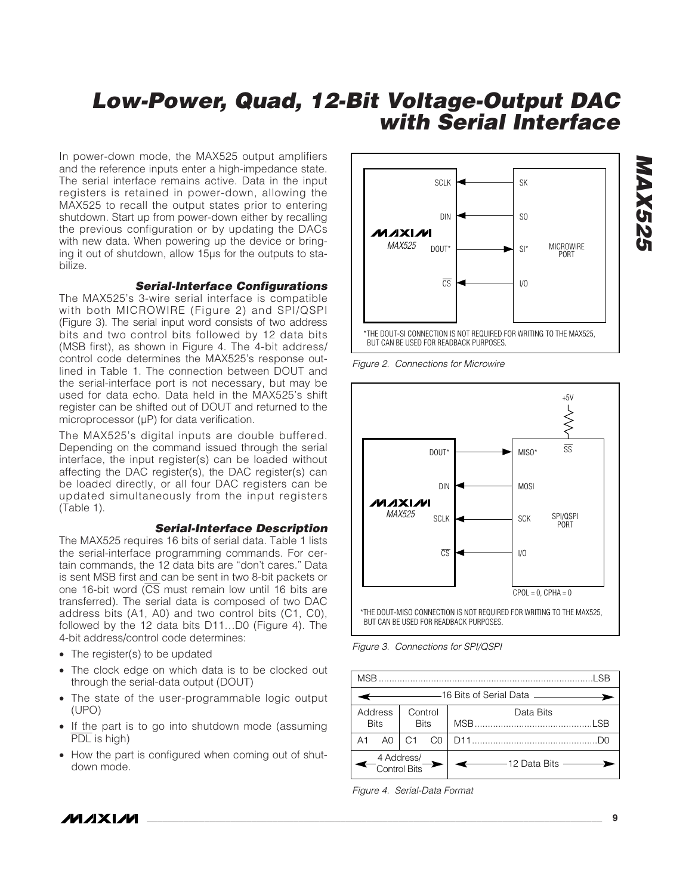In power-down mode, the MAX525 output amplifiers and the reference inputs enter a high-impedance state. The serial interface remains active. Data in the input registers is retained in power-down, allowing the MAX525 to recall the output states prior to entering shutdown. Start up from power-down either by recalling the previous configuration or by updating the DACs with new data. When powering up the device or bringing it out of shutdown, allow 15µs for the outputs to stabilize.

#### *Serial-Interface Configurations*

The MAX525's 3-wire serial interface is compatible with both MICROWIRE (Figure 2) and SPI/QSPI (Figure 3). The serial input word consists of two address bits and two control bits followed by 12 data bits (MSB first), as shown in Figure 4. The 4-bit address/ control code determines the MAX525's response outlined in Table 1. The connection between DOUT and the serial-interface port is not necessary, but may be used for data echo. Data held in the MAX525's shift register can be shifted out of DOUT and returned to the microprocessor (µP) for data verification.

The MAX525's digital inputs are double buffered. Depending on the command issued through the serial interface, the input register(s) can be loaded without affecting the DAC register(s), the DAC register(s) can be loaded directly, or all four DAC registers can be updated simultaneously from the input registers (Table 1).

#### *Serial-Interface Description*

The MAX525 requires 16 bits of serial data. Table 1 lists the serial-interface programming commands. For certain commands, the 12 data bits are "don't cares." Data is sent MSB first and can be sent in two 8-bit packets or one 16-bit word (CS must remain low until 16 bits are transferred). The serial data is composed of two DAC address bits (A1, A0) and two control bits (C1, C0), followed by the 12 data bits D11…D0 (Figure 4). The 4-bit address/control code determines:

- The register(s) to be updated
- The clock edge on which data is to be clocked out through the serial-data output (DOUT)
- The state of the user-programmable logic output (UPO)
- If the part is to go into shutdown mode (assuming PDL is high)
- How the part is configured when coming out of shutdown mode.



*Figure 2. Connections for Microwire*



*Figure 3. Connections for SPI/QSPI*

| <b>SR</b>                  |                                       |                        |  |                                                |  |  |  |  |
|----------------------------|---------------------------------------|------------------------|--|------------------------------------------------|--|--|--|--|
|                            | ———————16 Bits of Serial Data ——————— |                        |  |                                                |  |  |  |  |
| Address<br><b>Bits</b>     |                                       | Control<br><b>Bits</b> |  | Data Bits                                      |  |  |  |  |
| A1                         | A0<br>C1<br>C <sub>0</sub>            |                        |  |                                                |  |  |  |  |
| 4 Address/<br>Control Bits |                                       |                        |  | $\longleftarrow$ 12 Data Bits $\longleftarrow$ |  |  |  |  |

*Figure 4. Serial-Data Format*

*/VI/IXI/VI*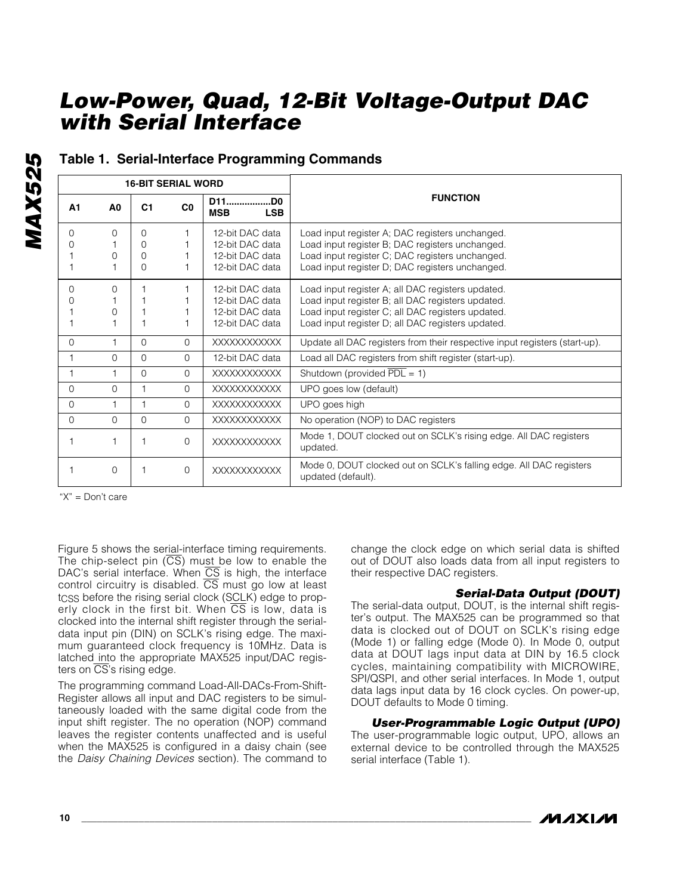|                |                | <b>16-BIT SERIAL WORD</b> |                |                                        |                                                                                          |
|----------------|----------------|---------------------------|----------------|----------------------------------------|------------------------------------------------------------------------------------------|
| A <sub>1</sub> | A <sub>0</sub> | C <sub>1</sub>            | C <sub>0</sub> | D11<br>.DO<br><b>MSB</b><br><b>LSB</b> | <b>FUNCTION</b>                                                                          |
| 0              | O              | $\Omega$                  |                | 12-bit DAC data                        | Load input register A; DAC registers unchanged.                                          |
|                |                | O                         |                | 12-bit DAC data                        | Load input register B; DAC registers unchanged.                                          |
|                | $\Omega$       | $\Omega$                  |                | 12-bit DAC data                        | Load input register C; DAC registers unchanged.                                          |
|                |                | $\Omega$                  |                | 12-bit DAC data                        | Load input register D; DAC registers unchanged.                                          |
| 0              | $\Omega$       |                           |                | 12-bit DAC data                        | Load input register A; all DAC registers updated.                                        |
|                |                |                           |                | 12-bit DAC data                        | Load input register B; all DAC registers updated.                                        |
|                | O              |                           |                | 12-bit DAC data                        | Load input register C; all DAC registers updated.                                        |
|                |                |                           |                | 12-bit DAC data                        | Load input register D; all DAC registers updated.                                        |
| $\Omega$       | 1              | $\Omega$                  | $\Omega$       | XXXXXXXXXXX                            | Update all DAC registers from their respective input registers (start-up).               |
|                | $\Omega$       | $\Omega$                  | $\Omega$       | 12-bit DAC data                        | Load all DAC registers from shift register (start-up).                                   |
|                | 1              | $\Omega$                  | $\Omega$       | XXXXXXXXXXX                            | Shutdown (provided $\overline{PDL} = 1$ )                                                |
| $\Omega$       | $\Omega$       | 1                         | $\Omega$       | <b>XXXXXXXXXXXX</b>                    | UPO goes low (default)                                                                   |
| $\Omega$       |                |                           | $\Omega$       | <b>XXXXXXXXXXXX</b>                    | UPO goes high                                                                            |
| 0              | $\Omega$       | $\Omega$                  | $\Omega$       | <b>XXXXXXXXXXXX</b>                    | No operation (NOP) to DAC registers                                                      |
|                |                |                           | $\Omega$       | <b>XXXXXXXXXXXX</b>                    | Mode 1, DOUT clocked out on SCLK's rising edge. All DAC registers<br>updated.            |
|                | $\Omega$       |                           | $\Omega$       | <b>XXXXXXXXXXXX</b>                    | Mode 0, DOUT clocked out on SCLK's falling edge. All DAC registers<br>updated (default). |

#### **Table 1. Serial-Interface Programming Commands**

"X" = Don't care

Figure 5 shows the serial-interface timing requirements. The chip-select pin  $(\overline{CS})$  must be low to enable the DAC's serial interface. When CS is high, the interface control circuitry is disabled.  $\overline{\text{CS}}$  must go low at least tcss before the rising serial clock (SCLK) edge to properly clock in the first bit. When  $\overline{CS}$  is low, data is clocked into the internal shift register through the serialdata input pin (DIN) on SCLK's rising edge. The maximum guaranteed clock frequency is 10MHz. Data is latched into the appropriate MAX525 input/DAC registers on  $\overline{CS}$ 's rising edge.

The programming command Load-All-DACs-From-Shift-Register allows all input and DAC registers to be simultaneously loaded with the same digital code from the input shift register. The no operation (NOP) command leaves the register contents unaffected and is useful when the MAX525 is configured in a daisy chain (see the *Daisy Chaining Devices* section). The command to

change the clock edge on which serial data is shifted out of DOUT also loads data from all input registers to their respective DAC registers.

#### *Serial-Data Output (DOUT)*

The serial-data output, DOUT, is the internal shift register's output. The MAX525 can be programmed so that data is clocked out of DOUT on SCLK's rising edge (Mode 1) or falling edge (Mode 0). In Mode 0, output data at DOUT lags input data at DIN by 16.5 clock cycles, maintaining compatibility with MICROWIRE, SPI/QSPI, and other serial interfaces. In Mode 1, output data lags input data by 16 clock cycles. On power-up, DOUT defaults to Mode 0 timing.

*User-Programmable Logic Output (UPO)*

The user-programmable logic output, UPO, allows an external device to be controlled through the MAX525 serial interface (Table 1).

# **MAX525** *MAX525*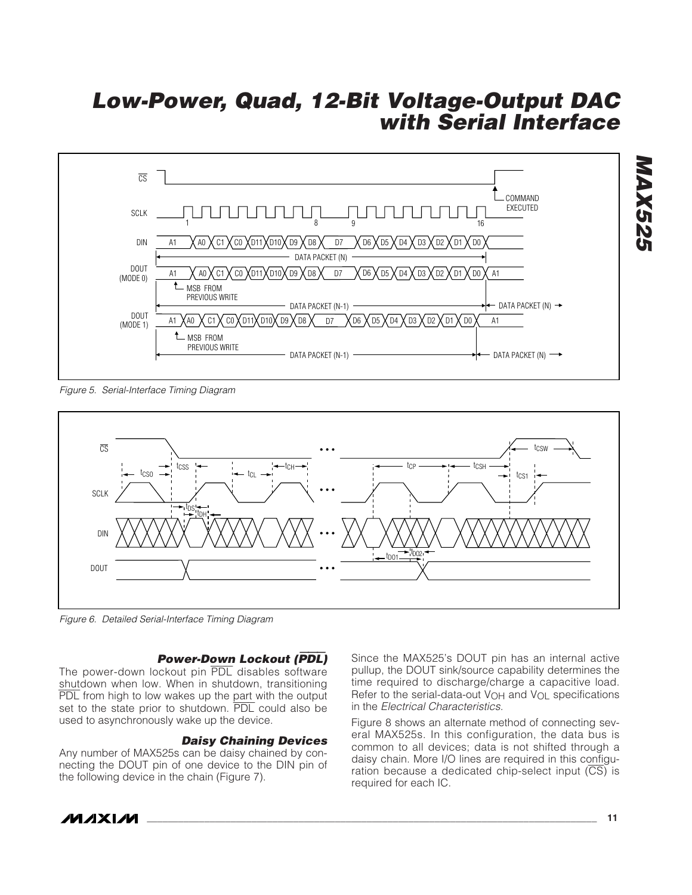

*Figure 5. Serial-Interface Timing Diagram*



*Figure 6. Detailed Serial-Interface Timing Diagram*

#### *Power-Down Lockout (*PDL*)*

The power-down lockout pin PDL disables software shutdown when low. When in shutdown, transitioning PDL from high to low wakes up the part with the output set to the state prior to shutdown. PDL could also be used to asynchronously wake up the device.

#### *Daisy Chaining Devices*

Any number of MAX525s can be daisy chained by connecting the DOUT pin of one device to the DIN pin of the following device in the chain (Figure 7).

Since the MAX525's DOUT pin has an internal active pullup, the DOUT sink/source capability determines the time required to discharge/charge a capacitive load. Refer to the serial-data-out V<sub>OH</sub> and V<sub>OL</sub> specifications in the *Electrical Characteristics.*

Figure 8 shows an alternate method of connecting several MAX525s. In this configuration, the data bus is common to all devices; data is not shifted through a daisy chain. More I/O lines are required in this configuration because a dedicated chip-select input  $(\overline{CS)}$  is required for each IC.

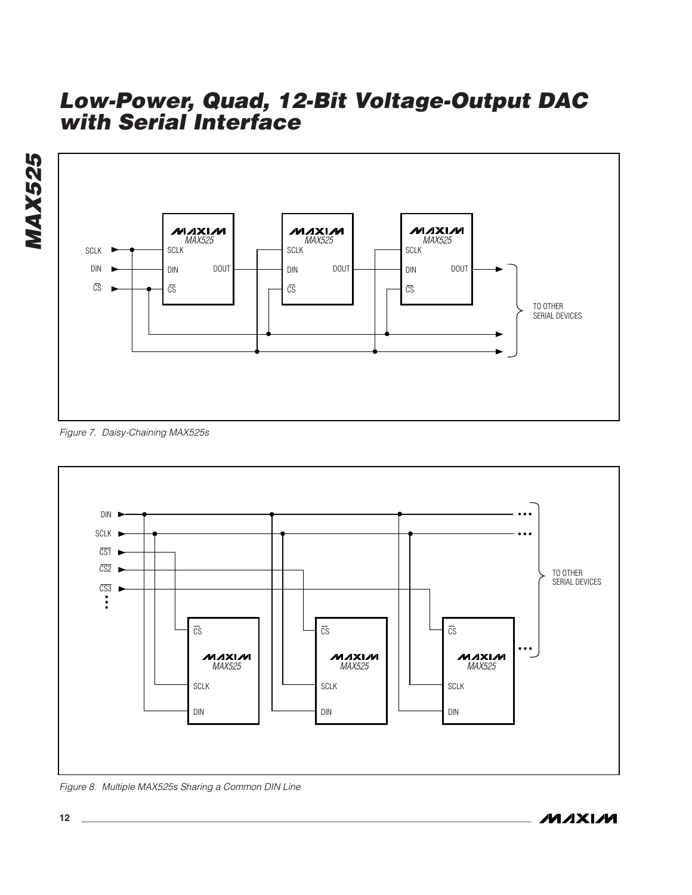

*Figure 7. Daisy-Chaining MAX525s*

*MAX525*



*Figure 8. Multiple MAX525s Sharing a Common DIN Line*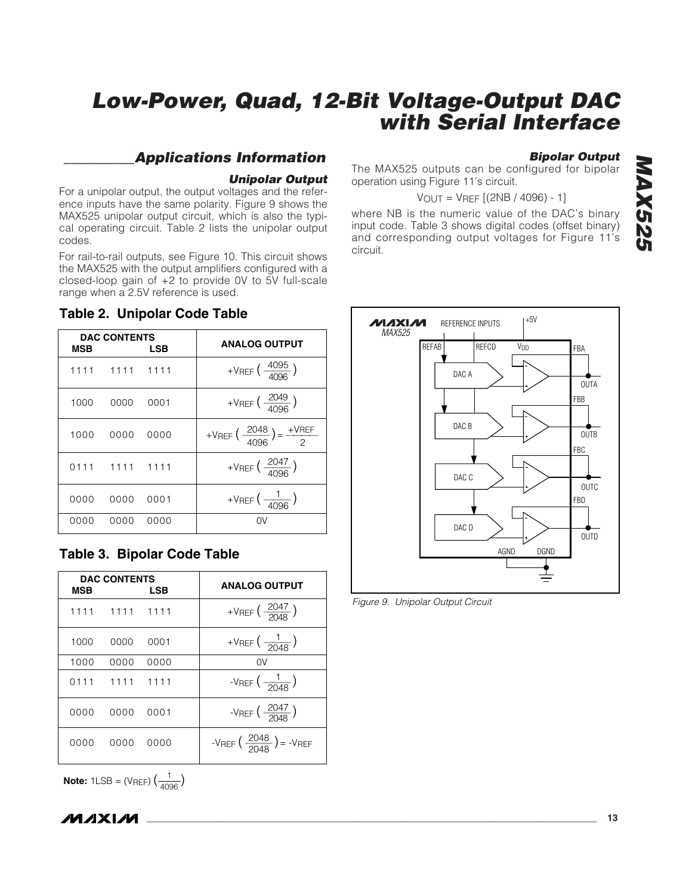#### *\_\_\_\_\_\_\_\_\_\_Applications Information*

#### *Unipolar Output*

For a unipolar output, the output voltages and the reference inputs have the same polarity. Figure 9 shows the MAX525 unipolar output circuit, which is also the typical operating circuit. Table 2 lists the unipolar output codes.

For rail-to-rail outputs, see Figure 10. This circuit shows the MAX525 with the output amplifiers configured with a closed-loop gain of +2 to provide 0V to 5V full-scale range when a 2.5V reference is used.

#### **Table 2. Unipolar Code Table**

| MSB  | <b>DAC CONTENTS</b> | <b>LSB</b> | <b>ANALOG OUTPUT</b>                                     |
|------|---------------------|------------|----------------------------------------------------------|
|      | 1111 1111 1111      |            | +VREF $\left(\frac{4095}{4096}\right)$                   |
| 1000 | 0000                | 0001       | +VREF $\left(\frac{2049}{4096}\right)$                   |
| 1000 | 0000                | 0000       | +VREF $\left(\frac{2048}{4096}\right) = \frac{+VREF}{2}$ |
|      | 0111 1111 1111      |            | +VREF $\left(\frac{2047}{4096}\right)$                   |
| 0000 | 0000                | 0001       | +VREF $\left(\frac{1}{4096}\right)$                      |
| 0000 | 0000                | 0000       | 0V                                                       |

#### **Table 3. Bipolar Code Table**

| MSB  | <b>DAC CONTENTS</b> | LSB  | <b>ANALOG OUTPUT</b>                           |
|------|---------------------|------|------------------------------------------------|
|      | 1111 1111 1111      |      | +VREF $\left(\frac{2047}{2048}\right)$         |
| 1000 | 0000                | 0001 | + $V_{REF}$ $\left(\frac{1}{-20AB}\right)$     |
| 1000 | 0000                | 0000 | 0V                                             |
|      | 0111 1111 1111      |      | -VREF $\left(\frac{1}{-2048}\right)$           |
| 0000 | 0000                | 0001 | -VREF $\left(\frac{2047}{2048}\right)$         |
| 0000 | 0000                | 0000 | -VREF $\left(\frac{2048}{2048}\right)$ = -VREF |

**Note:**  $1LSB = (V_{REF})\left(\frac{1}{4096}\right)$ 

#### *Bipolar Output*

The MAX525 outputs can be configured for bipolar operation using Figure 11's circuit.

$$
V_{OUT} = V_{REF} [(2NB / 4096) - 1]
$$

where NB is the numeric value of the DAC's binary input code. Table 3 shows digital codes (offset binary) and corresponding output voltages for Figure 11's circuit.



*Figure 9. Unipolar Output Circuit*

*/VI/IXI/VI*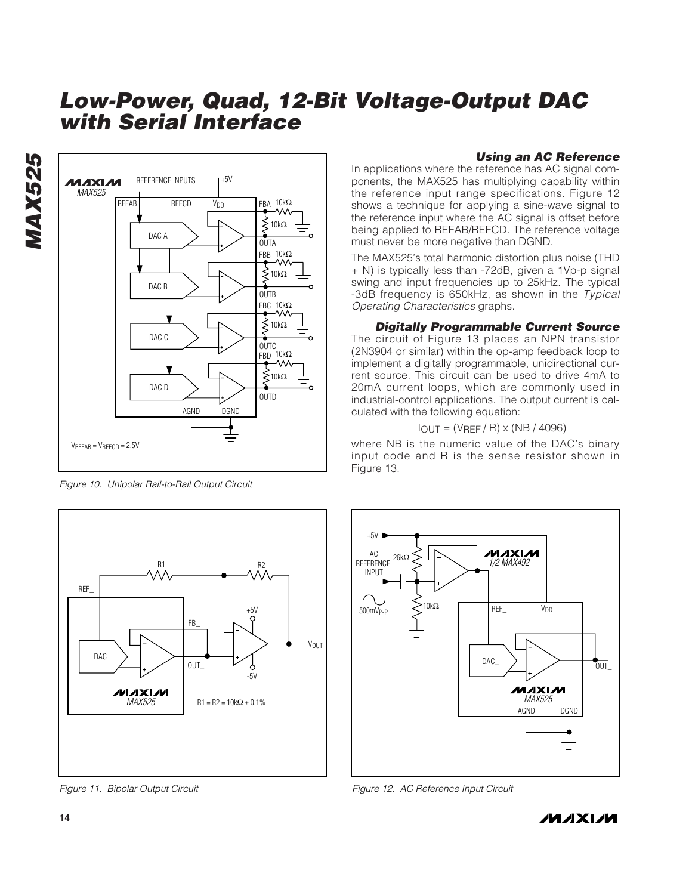

*Figure 10. Unipolar Rail-to-Rail Output Circuit*



**14 \_\_\_\_\_\_\_\_\_\_\_\_\_\_\_\_\_\_\_\_\_\_\_\_\_\_\_\_\_\_\_\_\_\_\_\_\_\_\_\_\_\_\_\_\_\_\_\_\_\_\_\_\_\_\_\_\_\_\_\_\_\_\_\_\_\_\_\_\_\_\_\_\_\_\_\_\_\_\_\_\_\_\_\_\_\_**

*Figure 11. Bipolar Output Circuit*

#### *Using an AC Reference*

In applications where the reference has AC signal components, the MAX525 has multiplying capability within the reference input range specifications. Figure 12 shows a technique for applying a sine-wave signal to the reference input where the AC signal is offset before being applied to REFAB/REFCD. The reference voltage must never be more negative than DGND.

The MAX525's total harmonic distortion plus noise (THD + N) is typically less than -72dB, given a 1Vp-p signal swing and input frequencies up to 25kHz. The typical -3dB frequency is 650kHz, as shown in the *Typical Operating Characteristics* graphs.

#### *Digitally Programmable Current Source*

The circuit of Figure 13 places an NPN transistor (2N3904 or similar) within the op-amp feedback loop to implement a digitally programmable, unidirectional current source. This circuit can be used to drive 4mA to 20mA current loops, which are commonly used in industrial-control applications. The output current is calculated with the following equation:

 $I_{OUT} = (V_{REF} / R) \times (NB / 4096)$ 

where NB is the numeric value of the DAC's binary input code and R is the sense resistor shown in Figure 13.



*Figure 12. AC Reference Input Circuit*



*MAX525*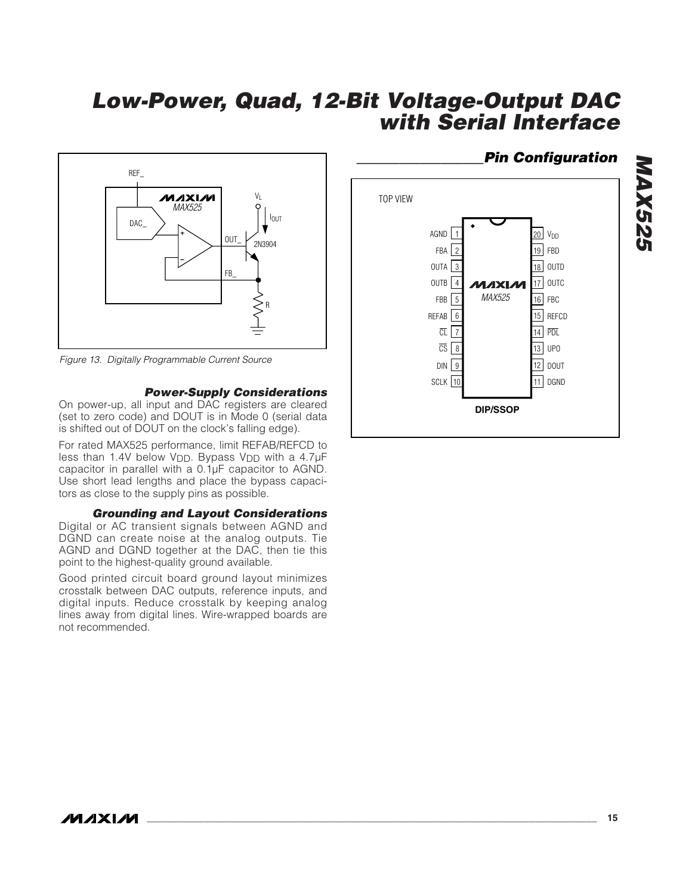

*Figure 13. Digitally Programmable Current Source*

#### *Power-Supply Considerations*

On power-up, all input and DAC registers are cleared (set to zero code) and DOUT is in Mode 0 (serial data is shifted out of DOUT on the clock's falling edge).

For rated MAX525 performance, limit REFAB/REFCD to less than 1.4V below V<sub>DD</sub>. Bypass V<sub>DD</sub> with a 4.7µF capacitor in parallel with a 0.1µF capacitor to AGND. Use short lead lengths and place the bypass capacitors as close to the supply pins as possible.

#### *Grounding and Layout Considerations*

Digital or AC transient signals between AGND and DGND can create noise at the analog outputs. Tie AGND and DGND together at the DAC, then tie this point to the highest-quality ground available.

Good printed circuit board ground layout minimizes crosstalk between DAC outputs, reference inputs, and digital inputs. Reduce crosstalk by keeping analog lines away from digital lines. Wire-wrapped boards are not recommended.

#### 20 19 18 OUTD 17 OUTC 16 FBC 15 REFCD 14 PDL CS | 8 | 13 | UPO 1 2 3  $OUTB$  4 5 FBB 6 7 8 V<sub>DD</sub> FBD **MAYIAM** OUTA FBA AGND TOP VIEW CL REFAB 12 DOUT 11 SCLK DGND 9 **SCLK** 10 DIN *MAX525*

**DIP/SSOP**

## *\_\_\_\_\_\_\_\_\_\_\_\_\_\_\_\_\_\_Pin Configuration*

*MAX525*